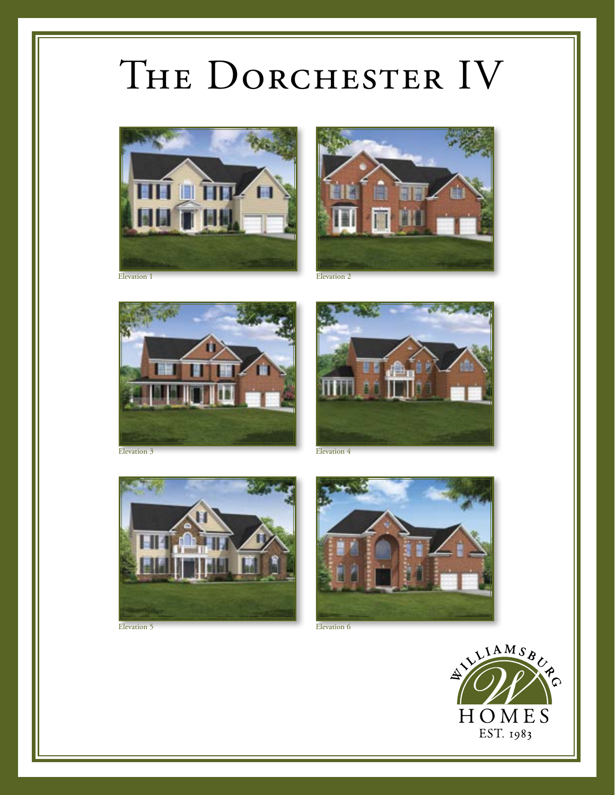## THE DORCHESTER IV